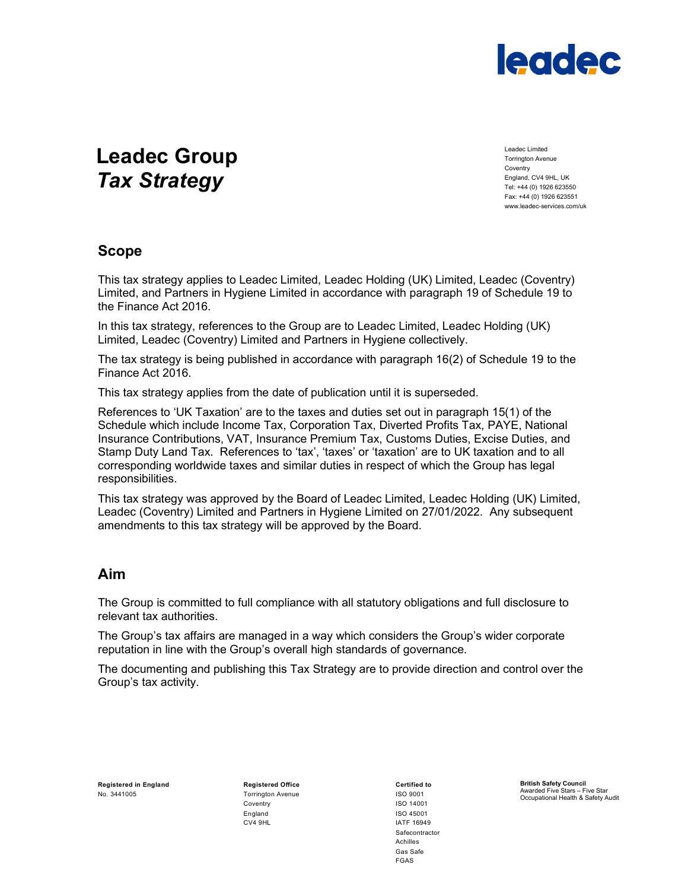

# Leadec Group Tax Strategy

Leadec Limited Torrington Avenue Coventry England, CV4 9HL, UK Tel: +44 (0) 1926 623550 Fax: +44 (0) 1926 623551 www.leadec-services.com/uk

#### Scope

This tax strategy applies to Leadec Limited, Leadec Holding (UK) Limited, Leadec (Coventry) Limited, and Partners in Hygiene Limited in accordance with paragraph 19 of Schedule 19 to the Finance Act 2016.

In this tax strategy, references to the Group are to Leadec Limited, Leadec Holding (UK) Limited, Leadec (Coventry) Limited and Partners in Hygiene collectively.

The tax strategy is being published in accordance with paragraph 16(2) of Schedule 19 to the Finance Act 2016.

This tax strategy applies from the date of publication until it is superseded.

References to 'UK Taxation' are to the taxes and duties set out in paragraph 15(1) of the Schedule which include Income Tax, Corporation Tax, Diverted Profits Tax, PAYE, National Insurance Contributions, VAT, Insurance Premium Tax, Customs Duties, Excise Duties, and Stamp Duty Land Tax. References to 'tax', 'taxes' or 'taxation' are to UK taxation and to all corresponding worldwide taxes and similar duties in respect of which the Group has legal responsibilities.

This tax strategy was approved by the Board of Leadec Limited, Leadec Holding (UK) Limited, Leadec (Coventry) Limited and Partners in Hygiene Limited on 27/01/2022. Any subsequent amendments to this tax strategy will be approved by the Board.

### Aim

The Group is committed to full compliance with all statutory obligations and full disclosure to relevant tax authorities.

The Group's tax affairs are managed in a way which considers the Group's wider corporate reputation in line with the Group's overall high standards of governance.

The documenting and publishing this Tax Strategy are to provide direction and control over the Group's tax activity.

Registered in England **Registered Office** Certified to Registered Office No. 3441005 Torrington Avenue ISO 9001

 Coventry ISO 14001 England ISO 45001 CV4 9HL **IATF 16949** 

 Safecontractor Achilles discussion of the contract of the contract of the contract of the contract of the contract of the contract of the contract of the contract of the contract of the contract of the contract of the contract of the contract of **FGAS FGAS** 

British Safety Council Awarded Five Stars – Five Star Occupational Health & Safety Audit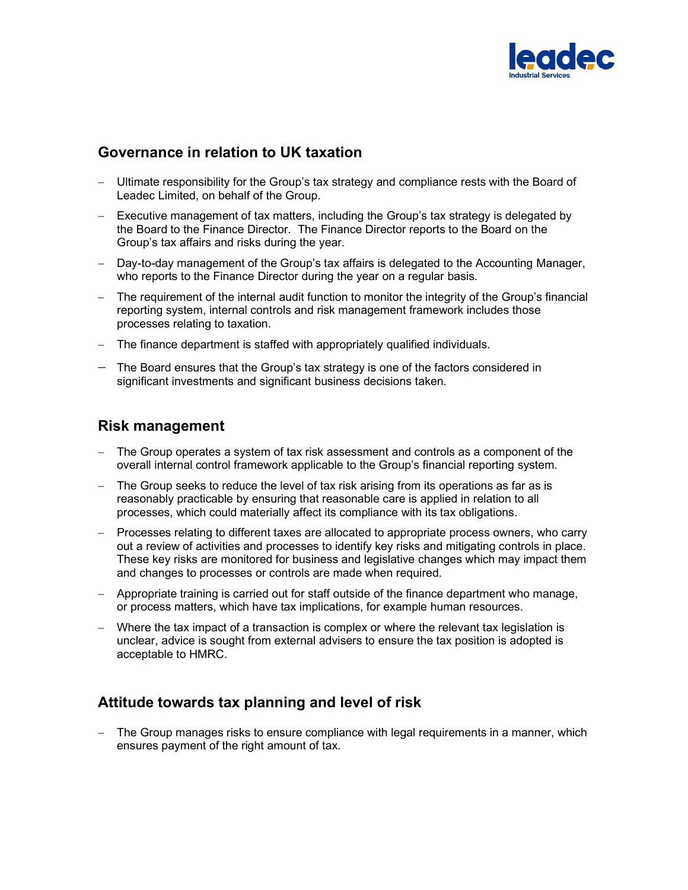

## Governance in relation to UK taxation

- Ultimate responsibility for the Group's tax strategy and compliance rests with the Board of Leadec Limited, on behalf of the Group.
- $-$  Executive management of tax matters, including the Group's tax strategy is delegated by the Board to the Finance Director. The Finance Director reports to the Board on the Group's tax affairs and risks during the year.
- Day-to-day management of the Group's tax affairs is delegated to the Accounting Manager, who reports to the Finance Director during the year on a regular basis.
- The requirement of the internal audit function to monitor the integrity of the Group's financial reporting system, internal controls and risk management framework includes those processes relating to taxation.
- The finance department is staffed with appropriately qualified individuals.
- The Board ensures that the Group's tax strategy is one of the factors considered in significant investments and significant business decisions taken.

#### Risk management

- The Group operates a system of tax risk assessment and controls as a component of the overall internal control framework applicable to the Group's financial reporting system.
- The Group seeks to reduce the level of tax risk arising from its operations as far as is reasonably practicable by ensuring that reasonable care is applied in relation to all processes, which could materially affect its compliance with its tax obligations.
- Processes relating to different taxes are allocated to appropriate process owners, who carry out a review of activities and processes to identify key risks and mitigating controls in place. These key risks are monitored for business and legislative changes which may impact them and changes to processes or controls are made when required.
- Appropriate training is carried out for staff outside of the finance department who manage, or process matters, which have tax implications, for example human resources.
- Where the tax impact of a transaction is complex or where the relevant tax legislation is unclear, advice is sought from external advisers to ensure the tax position is adopted is acceptable to HMRC.

# Attitude towards tax planning and level of risk

 The Group manages risks to ensure compliance with legal requirements in a manner, which ensures payment of the right amount of tax.